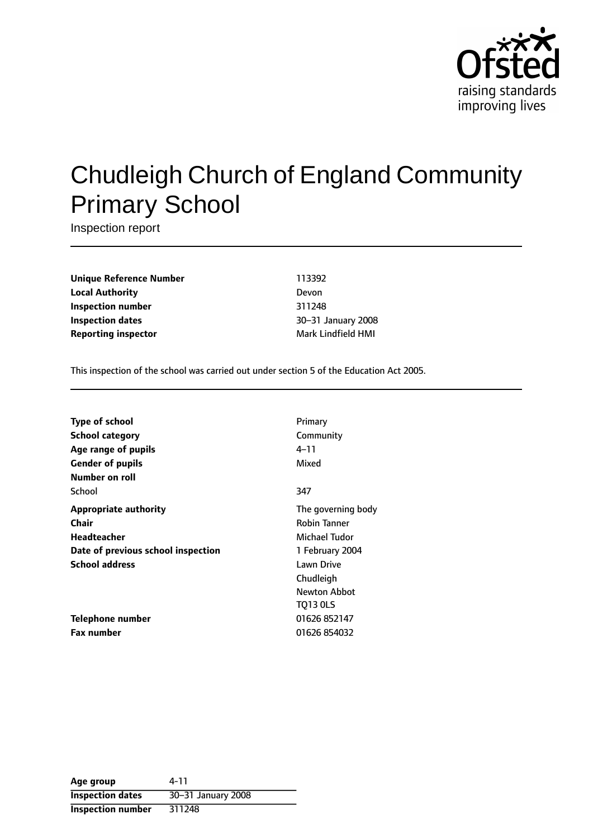

# Chudleigh Church of England Community Primary School

Inspection report

**Unique Reference Number** 113392 **Local Authority** Devon **Inspection number** 311248 **Inspection dates** 30-31 January 2008 **Reporting inspector** Mark Lindfield HMI

This inspection of the school was carried out under section 5 of the Education Act 2005.

| <b>Type of school</b>              | Primary             |
|------------------------------------|---------------------|
| <b>School category</b>             | Community           |
| Age range of pupils                | 4–11                |
| <b>Gender of pupils</b>            | Mixed               |
| Number on roll                     |                     |
| School                             | 347                 |
| <b>Appropriate authority</b>       | The governing body  |
| Chair                              | <b>Robin Tanner</b> |
| <b>Headteacher</b>                 | Michael Tudor       |
| Date of previous school inspection | 1 February 2004     |
| <b>School address</b>              | <b>Lawn Drive</b>   |
|                                    | Chudleigh           |
|                                    | Newton Abbot        |
|                                    | <b>TO13 OLS</b>     |
| Telephone number                   | 01626 852147        |
| <b>Fax number</b>                  | 01626 854032        |

| Age group                | 4-11               |
|--------------------------|--------------------|
| <b>Inspection dates</b>  | 30-31 January 2008 |
| <b>Inspection number</b> | 311248             |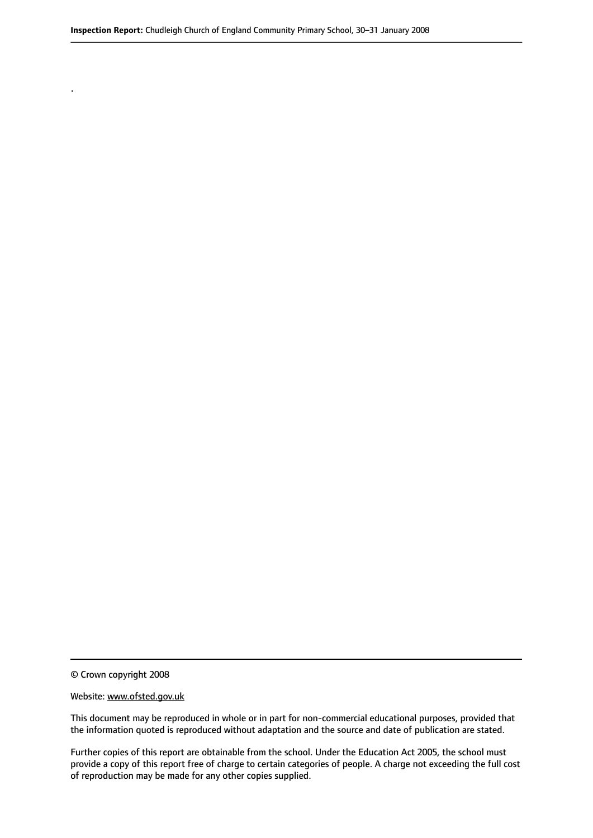© Crown copyright 2008

.

#### Website: www.ofsted.gov.uk

This document may be reproduced in whole or in part for non-commercial educational purposes, provided that the information quoted is reproduced without adaptation and the source and date of publication are stated.

Further copies of this report are obtainable from the school. Under the Education Act 2005, the school must provide a copy of this report free of charge to certain categories of people. A charge not exceeding the full cost of reproduction may be made for any other copies supplied.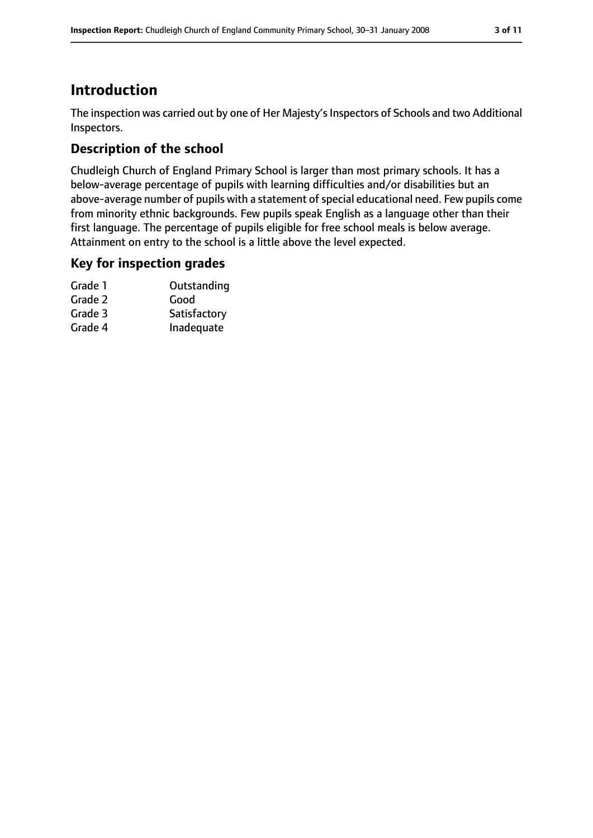### **Introduction**

The inspection was carried out by one of Her Majesty's Inspectors of Schools and two Additional Inspectors.

### **Description of the school**

Chudleigh Church of England Primary School is larger than most primary schools. It has a below-average percentage of pupils with learning difficulties and/or disabilities but an above-average number of pupils with a statement of special educational need. Few pupils come from minority ethnic backgrounds. Few pupils speak English as a language other than their first language. The percentage of pupils eligible for free school meals is below average. Attainment on entry to the school is a little above the level expected.

### **Key for inspection grades**

| Grade 1 | Outstanding  |
|---------|--------------|
| Grade 2 | Good         |
| Grade 3 | Satisfactory |
| Grade 4 | Inadequate   |
|         |              |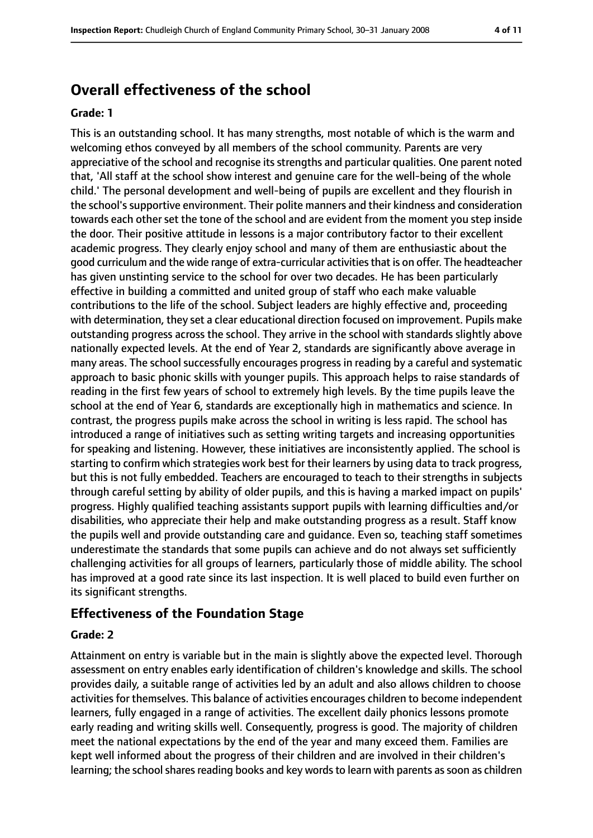### **Overall effectiveness of the school**

#### **Grade: 1**

This is an outstanding school. It has many strengths, most notable of which is the warm and welcoming ethos conveyed by all members of the school community. Parents are very appreciative of the school and recognise its strengths and particular qualities. One parent noted that, 'All staff at the school show interest and genuine care for the well-being of the whole child.' The personal development and well-being of pupils are excellent and they flourish in the school's supportive environment. Their polite manners and their kindness and consideration towards each other set the tone of the school and are evident from the moment you step inside the door. Their positive attitude in lessons is a major contributory factor to their excellent academic progress. They clearly enjoy school and many of them are enthusiastic about the good curriculum and the wide range of extra-curricular activitiesthat is on offer. The headteacher has given unstinting service to the school for over two decades. He has been particularly effective in building a committed and united group of staff who each make valuable contributions to the life of the school. Subject leaders are highly effective and, proceeding with determination, they set a clear educational direction focused on improvement. Pupils make outstanding progress across the school. They arrive in the school with standards slightly above nationally expected levels. At the end of Year 2, standards are significantly above average in many areas. The school successfully encourages progress in reading by a careful and systematic approach to basic phonic skills with younger pupils. This approach helps to raise standards of reading in the first few years of school to extremely high levels. By the time pupils leave the school at the end of Year 6, standards are exceptionally high in mathematics and science. In contrast, the progress pupils make across the school in writing is less rapid. The school has introduced a range of initiatives such as setting writing targets and increasing opportunities for speaking and listening. However, these initiatives are inconsistently applied. The school is starting to confirm which strategies work best for their learners by using data to track progress, but this is not fully embedded. Teachers are encouraged to teach to their strengths in subjects through careful setting by ability of older pupils, and this is having a marked impact on pupils' progress. Highly qualified teaching assistants support pupils with learning difficulties and/or disabilities, who appreciate their help and make outstanding progress as a result. Staff know the pupils well and provide outstanding care and guidance. Even so, teaching staff sometimes underestimate the standards that some pupils can achieve and do not always set sufficiently challenging activities for all groups of learners, particularly those of middle ability. The school has improved at a good rate since its last inspection. It is well placed to build even further on its significant strengths.

#### **Effectiveness of the Foundation Stage**

#### **Grade: 2**

Attainment on entry is variable but in the main is slightly above the expected level. Thorough assessment on entry enables early identification of children's knowledge and skills. The school provides daily, a suitable range of activities led by an adult and also allows children to choose activities for themselves. This balance of activities encourages children to become independent learners, fully engaged in a range of activities. The excellent daily phonics lessons promote early reading and writing skills well. Consequently, progress is good. The majority of children meet the national expectations by the end of the year and many exceed them. Families are kept well informed about the progress of their children and are involved in their children's learning; the school shares reading books and key words to learn with parents as soon as children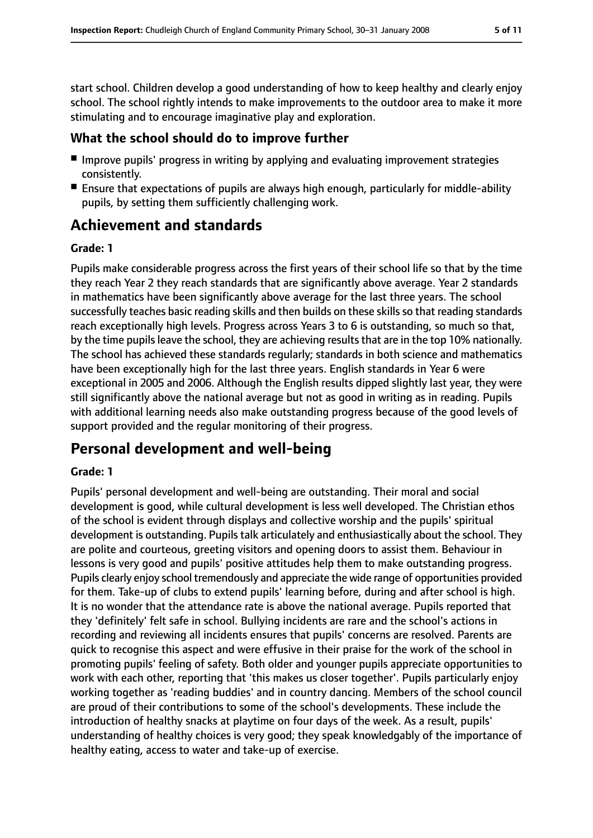start school. Children develop a good understanding of how to keep healthy and clearly enjoy school. The school rightly intends to make improvements to the outdoor area to make it more stimulating and to encourage imaginative play and exploration.

### **What the school should do to improve further**

- Improve pupils' progress in writing by applying and evaluating improvement strategies consistently.
- Ensure that expectations of pupils are always high enough, particularly for middle-ability pupils, by setting them sufficiently challenging work.

### **Achievement and standards**

#### **Grade: 1**

Pupils make considerable progress across the first years of their school life so that by the time they reach Year 2 they reach standards that are significantly above average. Year 2 standards in mathematics have been significantly above average for the last three years. The school successfully teaches basic reading skills and then builds on these skills so that reading standards reach exceptionally high levels. Progress across Years 3 to 6 is outstanding, so much so that, by the time pupils leave the school, they are achieving results that are in the top 10% nationally. The school has achieved these standards regularly; standards in both science and mathematics have been exceptionally high for the last three years. English standards in Year 6 were exceptional in 2005 and 2006. Although the English results dipped slightly last year, they were still significantly above the national average but not as good in writing as in reading. Pupils with additional learning needs also make outstanding progress because of the good levels of support provided and the regular monitoring of their progress.

### **Personal development and well-being**

#### **Grade: 1**

Pupils' personal development and well-being are outstanding. Their moral and social development is good, while cultural development is less well developed. The Christian ethos of the school is evident through displays and collective worship and the pupils' spiritual development is outstanding. Pupils talk articulately and enthusiastically about the school. They are polite and courteous, greeting visitors and opening doors to assist them. Behaviour in lessons is very good and pupils' positive attitudes help them to make outstanding progress. Pupils clearly enjoy school tremendously and appreciate the wide range of opportunities provided for them. Take-up of clubs to extend pupils' learning before, during and after school is high. It is no wonder that the attendance rate is above the national average. Pupils reported that they 'definitely' felt safe in school. Bullying incidents are rare and the school's actions in recording and reviewing all incidents ensures that pupils' concerns are resolved. Parents are quick to recognise this aspect and were effusive in their praise for the work of the school in promoting pupils' feeling of safety. Both older and younger pupils appreciate opportunities to work with each other, reporting that 'this makes us closer together'. Pupils particularly enjoy working together as 'reading buddies' and in country dancing. Members of the school council are proud of their contributions to some of the school's developments. These include the introduction of healthy snacks at playtime on four days of the week. As a result, pupils' understanding of healthy choices is very good; they speak knowledgably of the importance of healthy eating, access to water and take-up of exercise.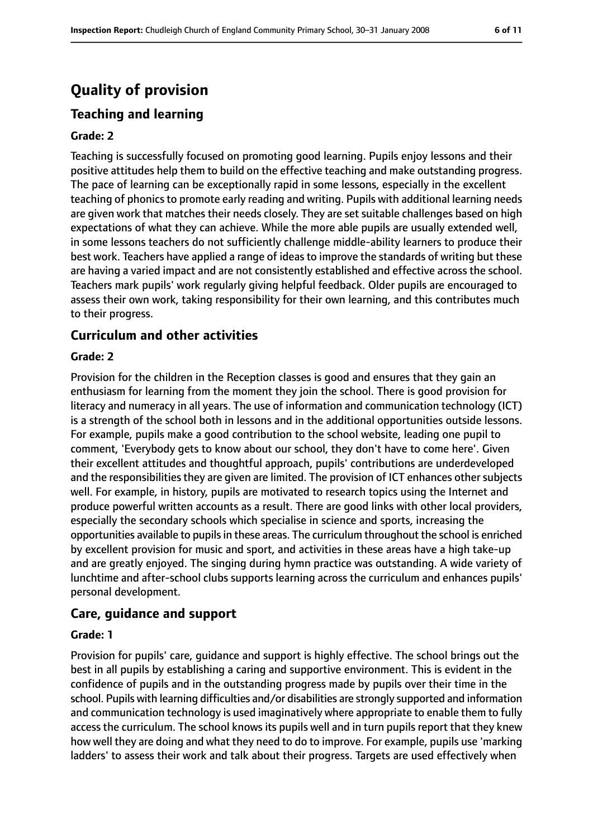## **Quality of provision**

### **Teaching and learning**

#### **Grade: 2**

Teaching is successfully focused on promoting good learning. Pupils enjoy lessons and their positive attitudes help them to build on the effective teaching and make outstanding progress. The pace of learning can be exceptionally rapid in some lessons, especially in the excellent teaching of phonics to promote early reading and writing. Pupils with additional learning needs are given work that matches their needs closely. They are set suitable challenges based on high expectations of what they can achieve. While the more able pupils are usually extended well, in some lessons teachers do not sufficiently challenge middle-ability learners to produce their best work. Teachers have applied a range of ideas to improve the standards of writing but these are having a varied impact and are not consistently established and effective across the school. Teachers mark pupils' work regularly giving helpful feedback. Older pupils are encouraged to assess their own work, taking responsibility for their own learning, and this contributes much to their progress.

#### **Curriculum and other activities**

#### **Grade: 2**

Provision for the children in the Reception classes is good and ensures that they gain an enthusiasm for learning from the moment they join the school. There is good provision for literacy and numeracy in all years. The use of information and communication technology (ICT) is a strength of the school both in lessons and in the additional opportunities outside lessons. For example, pupils make a good contribution to the school website, leading one pupil to comment, 'Everybody gets to know about our school, they don't have to come here'. Given their excellent attitudes and thoughtful approach, pupils' contributions are underdeveloped and the responsibilities they are given are limited. The provision of ICT enhances other subjects well. For example, in history, pupils are motivated to research topics using the Internet and produce powerful written accounts as a result. There are good links with other local providers, especially the secondary schools which specialise in science and sports, increasing the opportunities available to pupils in these areas. The curriculum throughout the school is enriched by excellent provision for music and sport, and activities in these areas have a high take-up and are greatly enjoyed. The singing during hymn practice was outstanding. A wide variety of lunchtime and after-school clubs supports learning across the curriculum and enhances pupils' personal development.

#### **Care, guidance and support**

#### **Grade: 1**

Provision for pupils' care, guidance and support is highly effective. The school brings out the best in all pupils by establishing a caring and supportive environment. This is evident in the confidence of pupils and in the outstanding progress made by pupils over their time in the school. Pupils with learning difficulties and/or disabilities are strongly supported and information and communication technology is used imaginatively where appropriate to enable them to fully access the curriculum. The school knows its pupils well and in turn pupils report that they knew how well they are doing and what they need to do to improve. For example, pupils use 'marking ladders' to assess their work and talk about their progress. Targets are used effectively when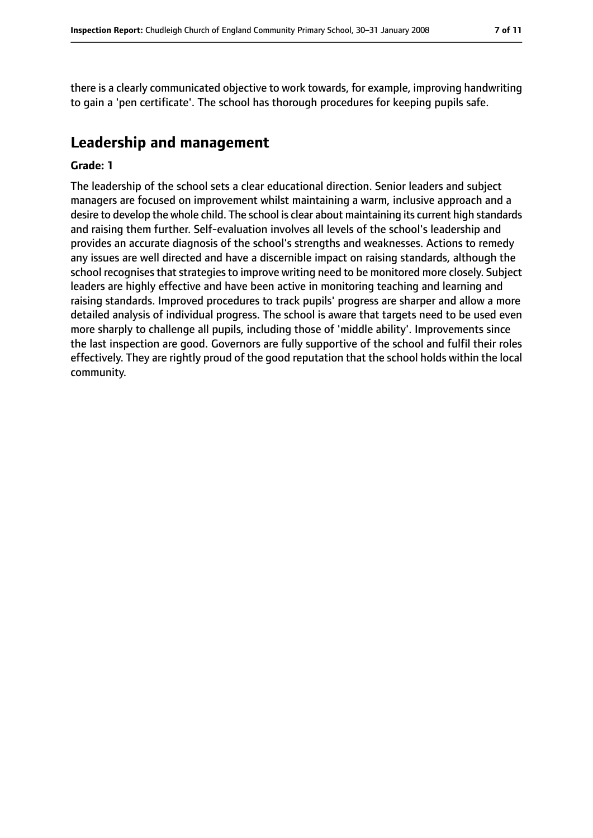there is a clearly communicated objective to work towards, for example, improving handwriting to gain a 'pen certificate'. The school has thorough procedures for keeping pupils safe.

### **Leadership and management**

#### **Grade: 1**

The leadership of the school sets a clear educational direction. Senior leaders and subject managers are focused on improvement whilst maintaining a warm, inclusive approach and a desire to develop the whole child. The school is clear about maintaining its current high standards and raising them further. Self-evaluation involves all levels of the school's leadership and provides an accurate diagnosis of the school's strengths and weaknesses. Actions to remedy any issues are well directed and have a discernible impact on raising standards, although the school recognises that strategies to improve writing need to be monitored more closely. Subject leaders are highly effective and have been active in monitoring teaching and learning and raising standards. Improved procedures to track pupils' progress are sharper and allow a more detailed analysis of individual progress. The school is aware that targets need to be used even more sharply to challenge all pupils, including those of 'middle ability'. Improvements since the last inspection are good. Governors are fully supportive of the school and fulfil their roles effectively. They are rightly proud of the good reputation that the school holds within the local community.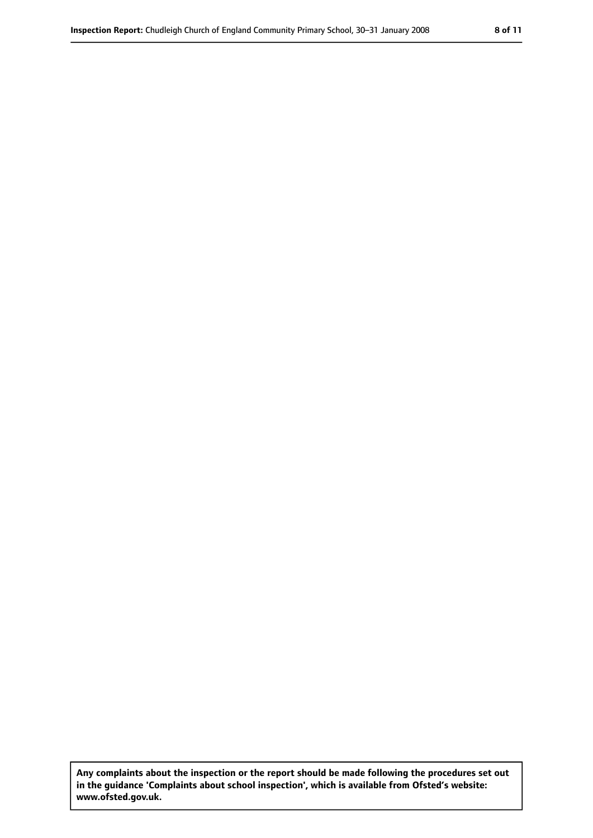**Any complaints about the inspection or the report should be made following the procedures set out in the guidance 'Complaints about school inspection', which is available from Ofsted's website: www.ofsted.gov.uk.**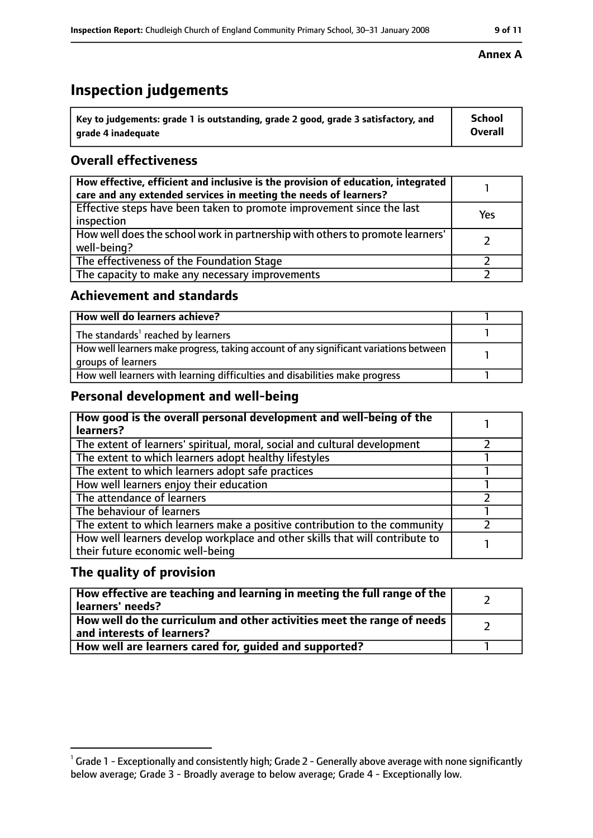### **Inspection judgements**

| key to judgements: grade 1 is outstanding, grade 2 good, grade 3 satisfactory, and ا | <b>School</b>  |
|--------------------------------------------------------------------------------------|----------------|
| arade 4 inadequate                                                                   | <b>Overall</b> |

#### **Overall effectiveness**

| How effective, efficient and inclusive is the provision of education, integrated<br>care and any extended services in meeting the needs of learners? |     |
|------------------------------------------------------------------------------------------------------------------------------------------------------|-----|
| Effective steps have been taken to promote improvement since the last<br>inspection                                                                  | Yes |
| How well does the school work in partnership with others to promote learners'<br>well-being?                                                         |     |
| The effectiveness of the Foundation Stage                                                                                                            |     |
| The capacity to make any necessary improvements                                                                                                      |     |

#### **Achievement and standards**

| How well do learners achieve?                                                                               |  |
|-------------------------------------------------------------------------------------------------------------|--|
| The standards <sup>1</sup> reached by learners                                                              |  |
| How well learners make progress, taking account of any significant variations between<br>groups of learners |  |
| How well learners with learning difficulties and disabilities make progress                                 |  |

### **Personal development and well-being**

| How good is the overall personal development and well-being of the<br>learners?                                  |  |
|------------------------------------------------------------------------------------------------------------------|--|
| The extent of learners' spiritual, moral, social and cultural development                                        |  |
| The extent to which learners adopt healthy lifestyles                                                            |  |
| The extent to which learners adopt safe practices                                                                |  |
| How well learners enjoy their education                                                                          |  |
| The attendance of learners                                                                                       |  |
| The behaviour of learners                                                                                        |  |
| The extent to which learners make a positive contribution to the community                                       |  |
| How well learners develop workplace and other skills that will contribute to<br>their future economic well-being |  |

#### **The quality of provision**

| How effective are teaching and learning in meeting the full range of the<br>learners' needs?          |  |
|-------------------------------------------------------------------------------------------------------|--|
| How well do the curriculum and other activities meet the range of needs<br>and interests of learners? |  |
| How well are learners cared for, quided and supported?                                                |  |

#### **Annex A**

 $^1$  Grade 1 - Exceptionally and consistently high; Grade 2 - Generally above average with none significantly below average; Grade 3 - Broadly average to below average; Grade 4 - Exceptionally low.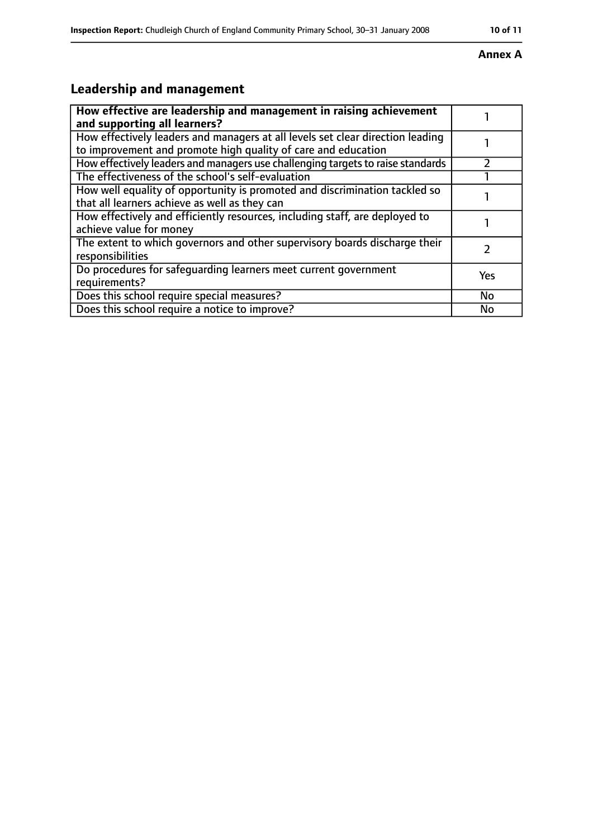### **Annex A**

## **Leadership and management**

| How effective are leadership and management in raising achievement<br>and supporting all learners?                                              |           |
|-------------------------------------------------------------------------------------------------------------------------------------------------|-----------|
| How effectively leaders and managers at all levels set clear direction leading<br>to improvement and promote high quality of care and education |           |
| How effectively leaders and managers use challenging targets to raise standards                                                                 |           |
| The effectiveness of the school's self-evaluation                                                                                               |           |
| How well equality of opportunity is promoted and discrimination tackled so<br>that all learners achieve as well as they can                     |           |
| How effectively and efficiently resources, including staff, are deployed to<br>achieve value for money                                          |           |
| The extent to which governors and other supervisory boards discharge their<br>responsibilities                                                  |           |
| Do procedures for safeguarding learners meet current government<br>requirements?                                                                | Yes       |
| Does this school require special measures?                                                                                                      | <b>No</b> |
| Does this school require a notice to improve?                                                                                                   | No        |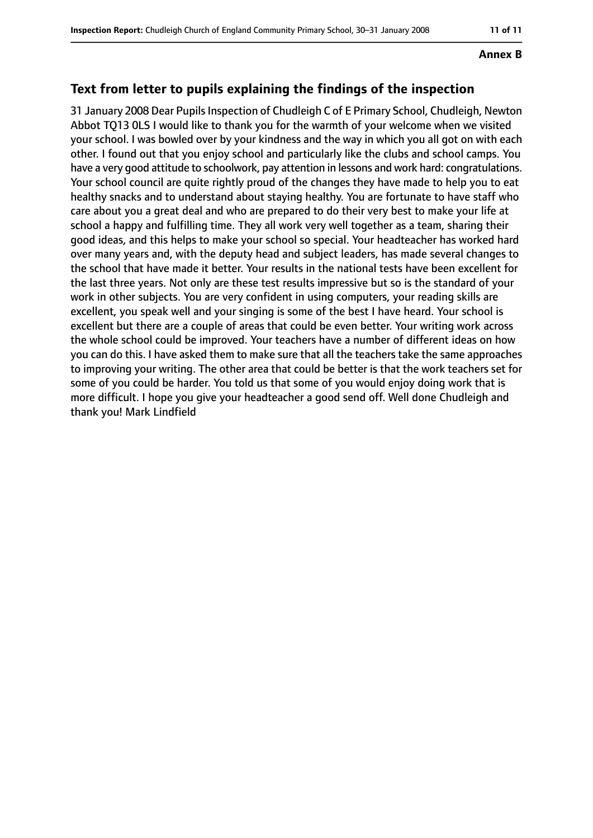#### **Annex B**

### **Text from letter to pupils explaining the findings of the inspection**

31 January 2008 Dear Pupils Inspection of Chudleigh C of E Primary School, Chudleigh, Newton Abbot TQ13 0LS I would like to thank you for the warmth of your welcome when we visited your school. I was bowled over by your kindness and the way in which you all got on with each other. I found out that you enjoy school and particularly like the clubs and school camps. You have a very good attitude to schoolwork, pay attention in lessons and work hard: congratulations. Your school council are quite rightly proud of the changes they have made to help you to eat healthy snacks and to understand about staying healthy. You are fortunate to have staff who care about you a great deal and who are prepared to do their very best to make your life at school a happy and fulfilling time. They all work very well together as a team, sharing their good ideas, and this helps to make your school so special. Your headteacher has worked hard over many years and, with the deputy head and subject leaders, has made several changes to the school that have made it better. Your results in the national tests have been excellent for the last three years. Not only are these test results impressive but so is the standard of your work in other subjects. You are very confident in using computers, your reading skills are excellent, you speak well and your singing is some of the best I have heard. Your school is excellent but there are a couple of areas that could be even better. Your writing work across the whole school could be improved. Your teachers have a number of different ideas on how you can do this. I have asked them to make sure that all the teachers take the same approaches to improving your writing. The other area that could be better is that the work teachers set for some of you could be harder. You told us that some of you would enjoy doing work that is more difficult. I hope you give your headteacher a good send off. Well done Chudleigh and thank you! Mark Lindfield